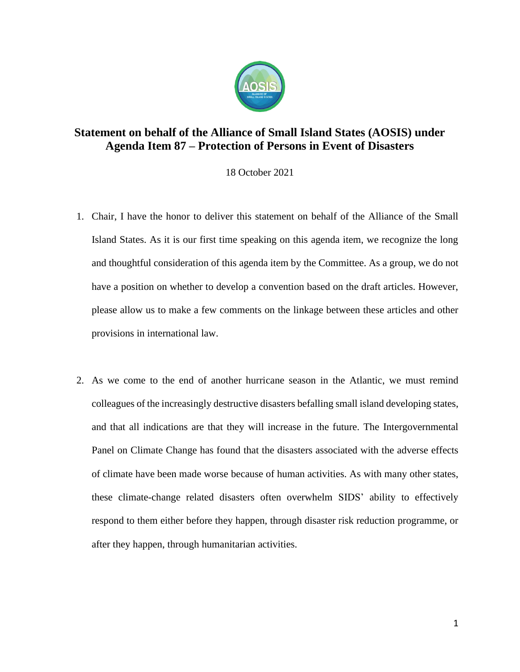

## **Statement on behalf of the Alliance of Small Island States (AOSIS) under Agenda Item 87 – Protection of Persons in Event of Disasters**

18 October 2021

- 1. Chair, I have the honor to deliver this statement on behalf of the Alliance of the Small Island States. As it is our first time speaking on this agenda item, we recognize the long and thoughtful consideration of this agenda item by the Committee. As a group, we do not have a position on whether to develop a convention based on the draft articles. However, please allow us to make a few comments on the linkage between these articles and other provisions in international law.
- 2. As we come to the end of another hurricane season in the Atlantic, we must remind colleagues of the increasingly destructive disasters befalling small island developing states, and that all indications are that they will increase in the future. The Intergovernmental Panel on Climate Change has found that the disasters associated with the adverse effects of climate have been made worse because of human activities. As with many other states, these climate-change related disasters often overwhelm SIDS' ability to effectively respond to them either before they happen, through disaster risk reduction programme, or after they happen, through humanitarian activities.